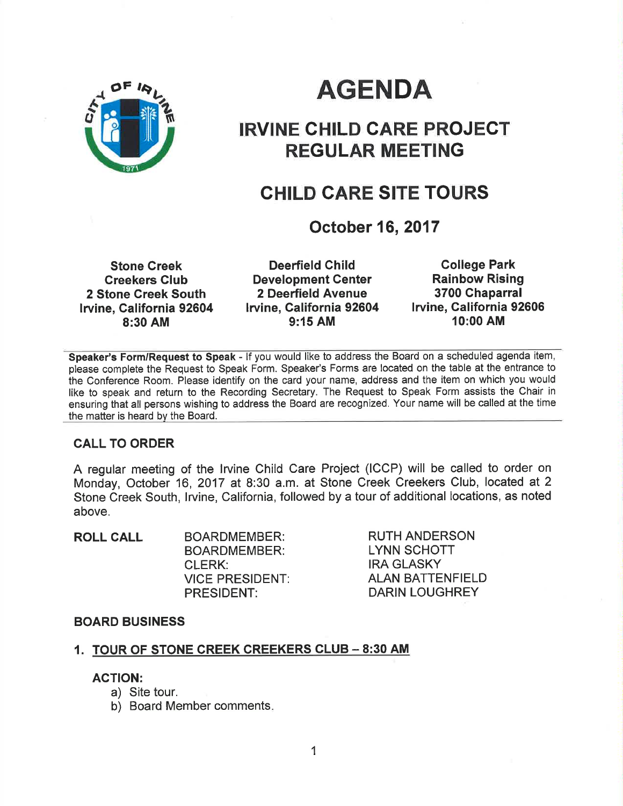

# AGENDA

## IRVINE GHILD CARE PROJECT REGULAR MEETING

## GHILD CARE SITE TOURS

## October 16, 2017

Stone Creek Greekers Club 2 Stone Greek South lrvine, Galifornia 92604 8:30 AM

Deerfield Child Development Genter 2 Deerfield Avenue lruine, California 92604 9:15 AM

Gollege Park Rainbow Rising 3700 Ghaparral lrvine, California 92606 10:00 AM

Speaker's Form/Request to Speak - If you would like to address the Board on a scheduled agenda item, please complete the Request to Speak Form. Speaker's Forms are located on the table at the entrance to the Conference Room. Please identify on the card your name, address and the item on which you would like to speak and return to the Recording Secretary. The Request to Speak Form assists the Chair in ensuring that all persons wishing to address the Board are recognized. Your name will be called at the time the matter is heard by the Board.

### CALL TO ORDER

A regular meeting of the lrvine Child Care Project (ICCP) will be called to order on Monday, October 16, 2017 at 8:30 a.m. at Stone Creek Creekers Club, located at 2 Stone Creek South, lrvine, California, followed by a tour of additional locations, as noted above.

| <b>ROLL CALL</b> | <b>BOARDMEMBER:</b>    |
|------------------|------------------------|
|                  | <b>BOARDMEMBER:</b>    |
|                  | CLERK:                 |
|                  | <b>VICE PRESIDENT:</b> |
|                  | <b>PRESIDENT:</b>      |

RUTH ANDERSON LYNN SCHOTT **IRA GLASKY** ALAN BATTENFIELD DARIN LOUGHREY

#### BOARD BUSINESS

#### 1. TOUR OF STONE CREEK CREEKERS CLUB - 8:30 AM

#### ACTION:

- a) Site tour.
- b) Board Member comments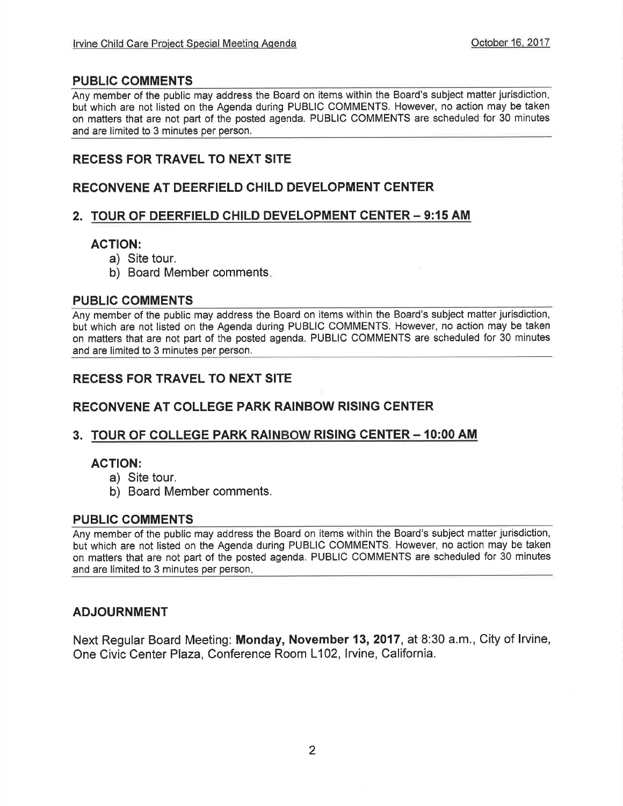#### PUBLIC COMMENTS

Any member of the public may address the Board on items within the Board's subject matter jurisdiction, but which are not listed on the Agenda during PUBLIC COMMENTS. However, no action may be taken on matters that are not part of the posted agenda. PUBLIC COMMENTS are scheduled for 30 minutes and are limited to 3 minutes per person.

### RECESS FOR TRAVEL TO NEXT SITE

### RECONVENE AT DEERFIELD CHILD DEVELOPMENT CENTER

#### 2. TOUR OF DEERFIELD CHILD DEVELOPMENT CENTER - 9:15 AM

#### AGTION:

- a) Site tour.
- b) Board Member comments

#### PUBLIC COMMENTS

Any member of the public may address the Board on items within the Board's subject matter jurisdiction, but which are not listed on the Agenda during PUBLIC COMMENTS. However, no action may be taken on matters that are not part of the posted agenda. PUBLIC COMMENTS are scheduled for 30 minutes and are limited to 3 minutes per person.

## RECESS FOR TRAVEL TO NEXT SITE

## RECONVENE AT COLLEGE PARK RAINBOW RISING CENTER

### 3. TOUR OF COLLEGE PARK RAINBOW RISING CENTER - 10:00 AM

#### ACTION:

- a) Site tour.
- b) Board Member comments.

#### PUBLIC COMMENTS

Any member of the public may address the Board on items within the Board's subject matter jurisdiction, but which are not listed on the Agenda during PUBLIC COMMENTS. However, no action may be taken on matters that are not part of the posted agenda. PUBLIC COMMENTS are scheduled for 30 minutes and are limited to 3 minutes per person

#### ADJOURNMENT

Next Regular Board Meeting: Monday, November 13,2017, at 8:30 a.m., City of lrvine, One Civic Center Plaza, Conference Room L102, Irvine, California.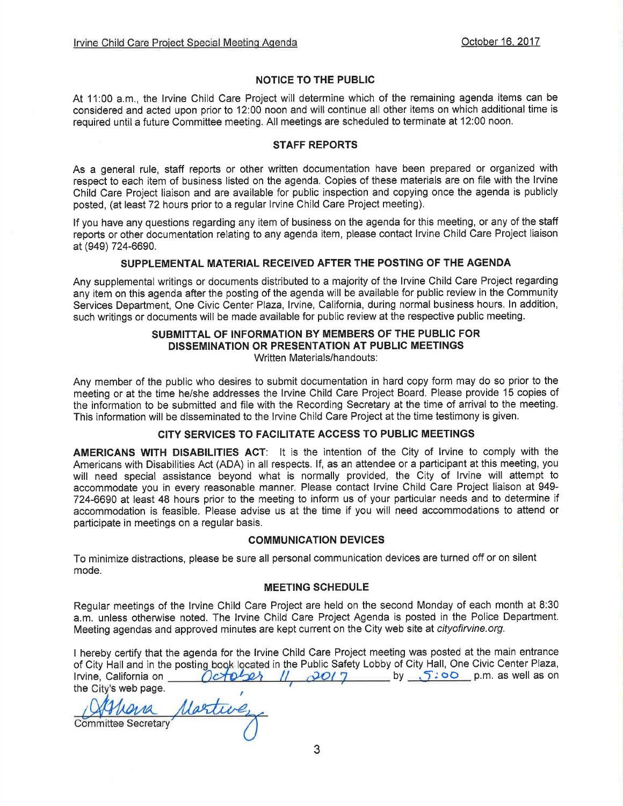#### NOTICE TO THE PUBLIC

At 11:00 a.m., the lrvine Child Care Project will determine which of the remaining agenda items can be considered and acted upon prior to 12:00 noon and will continue all other items on which additional time is required until a future Committee meeting. All meetings are scheduled to terminate at 12:00 noon.

#### STAFF REPORTS

As a general rule, staff reports or other written documentation have been prepared or organized with respect to each item of business listed on the agenda. Copies of these materials are on file with the lrvine Child Care Project liaison and are available for public inspection and copying once the agenda is publicly posted, (at least 72 hours prior to a regular lrvine Child Care Project meeting).

If you have any questions regarding any item of business on the agenda for this meeting, or any of the staff reports or other documentation relating to any agenda item, please contact lrvine Child Care Project liaison at (949) 724-6690.

#### SUPPLEMENTAL MATERIAL RECEIVED AFTER THE POSTING OF THE AGENDA

Any supplemental writings or documents distributed to a majority of the lrvine Child Care Project regarding any item on this agenda after the posting of the agenda will be available for public review in the Community Services Department, One Civic Center Plaza, Irvine, California, during normal business hours. In addition, such writings or documents will be made available for public review at the respective public meeting.

#### SUBMITTAL OF INFORMATION BY MEMBERS OF THE PUBLIC FOR DISSEMINATION OR PRESENTATION AT PUBLIC MEETINGS Written Materials/handouts:

Any member of the public who desires to submit documentation in hard copy form may do so prior to the meeting or at the time he/she addresses the lrvine Child Care Project Board. Please provide 15 copies of the information to be submitted and file with the Recording Secretary at the time of arrival to the meeting. This information will be disseminated to the lrvine Child Care Project at the time testimony is given.

#### CITY SERVICES TO FACILITATE ACCESS TO PUBLIC MEETINGS

AMERICANS WITH DISABILITIES AGT: lt is the intention of the City of lrvine to comply with the Americans with Disabilities Act (ADA) in all respects. lf, as an attendee or a participant at this meeting, you will need special assistance beyond what is normally provided, the City of lrvine will attempt to accommodate you in every reasonable manner. Please contact lrvine Child Care Project liaison at 949- 724-6690 at least 48 hours prior to the meeting to inform us of your particular needs and to determine if accommodation is feasible. Please advise us at the time if you will need accommodations to attend or participate in meetings on a regular basis.

#### COMMUNICATION DEVICES

To minimize distractions, please be sure all personal communication devices are turned off or on silent mode.

#### MEETING SCHEDULE

Regular meetings of the lrvine Child Care Project are held on the second Monday of each month at 8:30 a.m. unless othenruise noted. The lrvine Child Care Project Agenda is posted in the Police Department. Meeting agendas and approved minutes are kept current on the City web site at cityofirvine.org.

I hereby certify that the agenda for the lrvine Child Care Project meeting was posted at the main entrance of City Hall and in the posting book located in the Public Safety Lobby of City Hall, One Civic Center Plaza, lrvine, California on  $O \left( \frac{1}{2} \frac{\partial^2 \theta}{\partial x^2} \right)$  //  $O \left( \frac{1}{2} \right)$  by  $S \left( \frac{1}{2} \theta \right)$  p.m. as well as on the City's web page.

Martinez **Committee Secretary**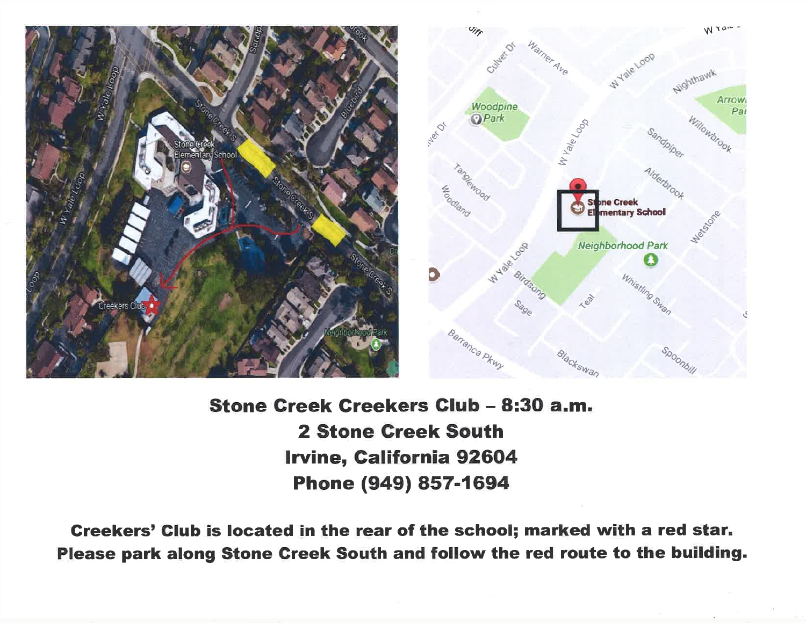

## Stone Creek Creekers Club - 8:30 a.m. **2 Stone Creek South Irvine, California 92604** Phone (949) 857-1694

Creekers' Club is located in the rear of the school; marked with a red star. Please park along Stone Creek South and follow the red route to the building.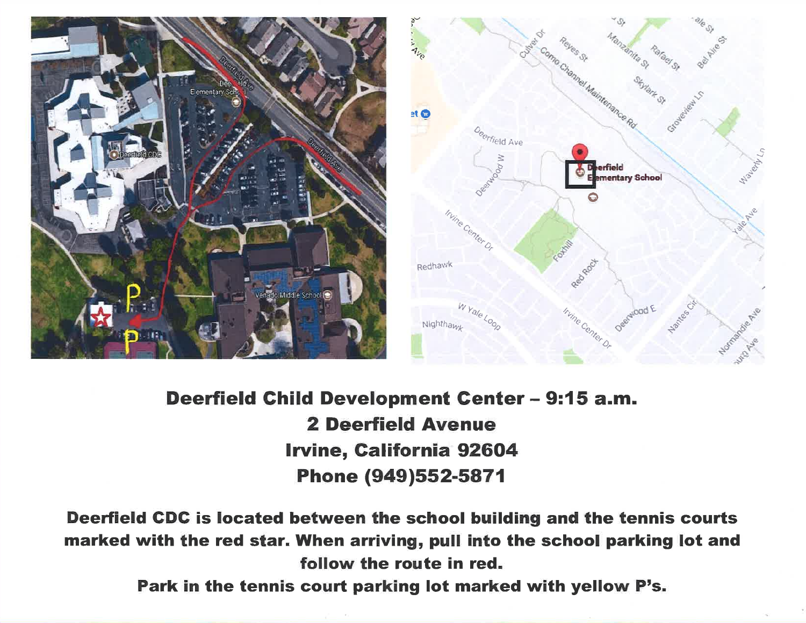



## Deerfield Child Development Center - 9:15 a.m. **2 Deerfield Avenue Irvine, California 92604** Phone (949)552-5871

Deerfield CDC is located between the school building and the tennis courts marked with the red star. When arriving, pull into the school parking lot and follow the route in red.

Park in the tennis court parking lot marked with yellow P's.